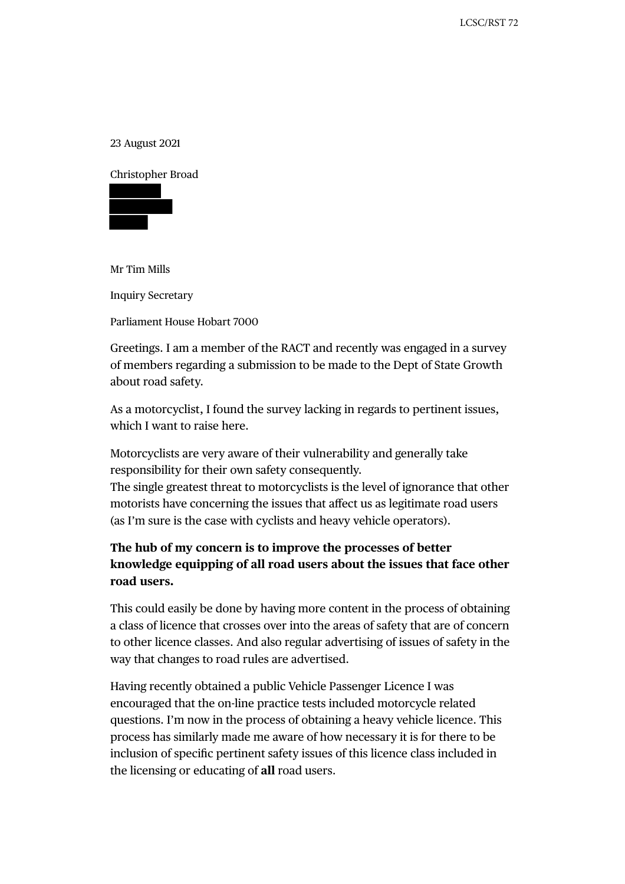23 August 2021

Christopher Broad



Mr Tim Mills

Inquiry Secretary

Parliament House Hobart 7000

Greetings. I am a member of the RACT and recently was engaged in a survey of members regarding a submission to be made to the Dept of State Growth about road safety.

As a motorcyclist, I found the survey lacking in regards to pertinent issues, which I want to raise here.

Motorcyclists are very aware of their vulnerability and generally take responsibility for their own safety consequently.

The single greatest threat to motorcyclists is the level of ignorance that other motorists have concerning the issues that affect us as legitimate road users (as I'm sure is the case with cyclists and heavy vehicle operators).

## **The hub of my concern is to improve the processes of better knowledge equipping of all road users about the issues that face other road users.**

This could easily be done by having more content in the process of obtaining a class of licence that crosses over into the areas of safety that are of concern to other licence classes. And also regular advertising of issues of safety in the way that changes to road rules are advertised.

Having recently obtained a public Vehicle Passenger Licence I was encouraged that the on-line practice tests included motorcycle related questions. I'm now in the process of obtaining a heavy vehicle licence. This process has similarly made me aware of how necessary it is for there to be inclusion of specific pertinent safety issues of this licence class included in the licensing or educating of **all** road users.